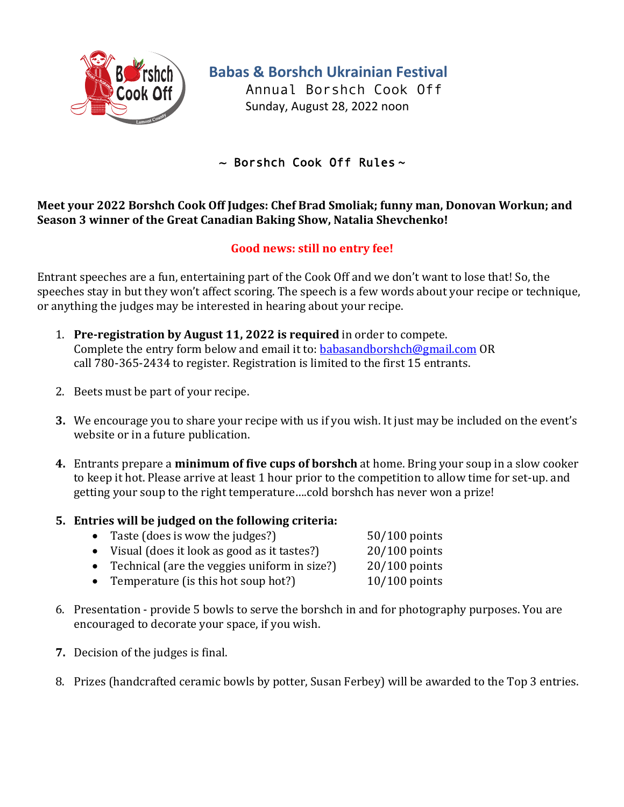

**Babas & Borshch Ukrainian Festival**

Annual Borshch Cook Off Sunday, August 28, 2022 noon

~ Borshch Cook Off Rules **~**

## **Meet your 2022 Borshch Cook Off Judges: Chef Brad Smoliak; funny man, Donovan Workun; and Season 3 winner of the Great Canadian Baking Show, Natalia Shevchenko!**

## Good news: still no entry fee!

Entrant speeches are a fun, entertaining part of the Cook Off and we don't want to lose that! So, the speeches stay in but they won't affect scoring. The speech is a few words about your recipe or technique, or anything the judges may be interested in hearing about your recipe.

- 1. **Pre-registration by August 11, 2022 is required** in order to compete. Complete the entry form below and email it to: babasandborshch@gmail.com OR call 780-365-2434 to register. Registration is limited to the first 15 entrants.
- 2. Beets must be part of your recipe.
- **3.** We encourage you to share your recipe with us if you wish. It just may be included on the event's website or in a future publication.
- **4.** Entrants prepare a **minimum of five cups of borshch** at home. Bring your soup in a slow cooker to keep it hot. Please arrive at least 1 hour prior to the competition to allow time for set-up. and getting your soup to the right temperature....cold borshch has never won a prize!
- **5.** Entries will be judged on the following criteria:

|           | $100$ $111$ $00$ $144$ $00$ $01$ $01$ $010$ $1010$ $111$ |                 |  |
|-----------|----------------------------------------------------------|-----------------|--|
|           | • Taste (does is wow the judges?)                        | $50/100$ points |  |
|           | • Visual (does it look as good as it tastes?)            | $20/100$ points |  |
| $\bullet$ | Technical (are the veggies uniform in size?)             | $20/100$ points |  |
|           |                                                          |                 |  |

- Temperature (is this hot soup hot?) 10/100 points
- 6. Presentation provide 5 bowls to serve the borshch in and for photography purposes. You are encouraged to decorate your space, if you wish.
- **7.** Decision of the judges is final.
- 8. Prizes (handcrafted ceramic bowls by potter, Susan Ferbey) will be awarded to the Top 3 entries.